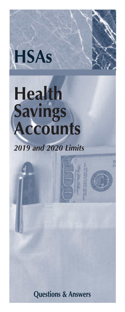

# **Health Savings Accounts**

# *2019 and 2020 Limits*

**Questions & Answers**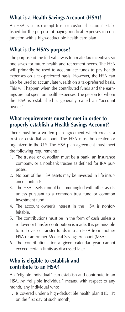# **What is a Health Savings Account (HSA)?**

An HSA is a tax-exempt trust or custodial account established for the purpose of paying medical expenses in conjunction with a high-deductible health care plan.

# **What is the HSA's purpose?**

The purpose of the federal law is to create tax incentives so one saves for future health and retirement needs. The HSA will primarily be used to accumulate funds to pay health expenses on a tax-preferred basis. However, the HSA can also be used to accumulate wealth on a tax-preferred basis. This will happen when the contributed funds and the earnings are not spent on health expenses. The person for whom the HSA is established is generally called an "account owner."

#### **What requirements must be met in order to properly establish a Health Savings Account?**

There must be a written plan agreement which creates a trust or custodial account. The HSA must be created or organized in the U.S. The HSA plan agreement must meet the following requirements:

- 1. The trustee or custodian must be a bank, an insurance company, or a nonbank trustee as defined for IRA purposes.
- 2. No part of the HSA assets may be invested in life insurance contracts.
- 3. The HSA assets cannot be commingled with other assets unless pursuant to a common trust fund or common investment fund.
- 4. The account owner's interest in the HSA is nonforfeitable.
- 5. The contributions must be in the form of cash unless a rollover or transfer contribution is made. It is permissible to roll over or transfer funds into an HSA from another HSA or an Archer Medical Savings Account (MSA).
- 6. The contributions for a given calendar year cannot exceed certain limits as discussed later.

#### **Who is eligible to establish and contribute to an HSA?**

An "eligible individual" can establish and contribute to an HSA. An "eligible individual" means, with respect to any month, any individual who:

1. Is covered under a high-deductible health plan (HDHP) on the first day of such month;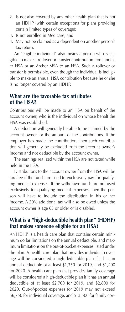- 2. Is not also covered by any other health plan that is not an HDHP (with certain exceptions for plans providing certain limited types of coverage);
- 3. Is not enrolled in Medicare; and
- 4. May not be claimed as a dependent on another person's tax return.

 An "eligible individual" also means a person who is eligible to make a rollover or transfer contribution from another HSA or an Archer MSA to an HSA. Such a rollover or transfer is permissible, even though the individual is ineligible to make an annual HSA contribution because he or she is no longer covered by an HDHP.

#### **What are the favorable tax attributes of the HSA?**

Contributions will be made to an HSA on behalf of the account owner, who is the individual on whose behalf the HSA was established.

 A deduction will generally be able to be claimed by the account owner for the amount of the contributions. If the employer has made the contribution, then such contribution will generally be excluded from the account owner's income and not deductible by the account owner.

 The earnings realized within the HSA are not taxed while held in the HSA.

 Distributions to the account owner from the HSA will be tax free if the funds are used to exclusively pay for qualifying medical expenses. If the withdrawn funds are not used exclusively for qualifying medical expenses, then the person will have to include the distribution in his or her income. A 20% additional tax will also be owed unless the account owner is age 65 or older or is disabled.

# **What is a "high-deductible health plan" (HDHP) that makes someone eligible for an HSA?**

An HDHP is a health care plan that contains certain minimum dollar limitations on the annual deductible, and maximum limitations on the out-of-pocket expenses listed under the plan. A health care plan that provides individual coverage will be considered a high-deductible plan if it has an annual deductible of at least \$1,350 for 2019, and \$1,400 for 2020. A health care plan that provides family coverage will be considered a high-deductible plan if it has an annual deductible of at least \$2,700 for 2019, and \$2,800 for 2020. Out-of-pocket expenses for 2019 may not exceed \$6,750 for individual coverage, and \$13,500 for family cov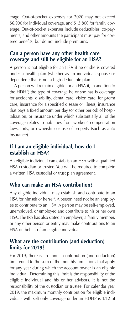erage. Out-of-pocket expenses for 2020 may not exceed \$6,900 for individual coverage, and \$13,800 for family coverage. Out-of-pocket expenses include deductibles, co-payments, and other amounts the participant must pay for covered benefits, but do not include premiums.

# **Can a person have any other health care coverage and still be eligible for an HSA?**

A person is not eligible for an HSA if he or she is covered under a health plan (whether as an individual, spouse or dependent) that is not a high-deductible plan.

 A person will remain eligible for an HSA if, in addition to the HDHP, the type of coverage he or she has is coverage for accidents, disability, dental care, vision care, long-term care, insurance for a specified disease or illness, insurance that pays a fixed amount per day (or other period) of hospitalization, or insurance under which substantially all of the coverage relates to liabilities from workers' compensation laws, torts, or ownership or use of property (such as auto insurance).

#### **If I am an eligible individual, how do I establish an HSA?**

An eligible individual can establish an HSA with a qualified HSA custodian or trustee. You will be required to complete a written HSA custodial or trust plan agreement.

#### **Who can make an HSA contribution?**

Any eligible individual may establish and contribute to an HSA for himself or herself. A person need not be an employee to contribute to an HSA. A person may be self-employed, unemployed, or employed and contribute to his or her own HSA. The IRS has also stated an employer, a family member, or any other person or entity may make contributions to an HSA on behalf of an eligible individual.

#### **What are the contribution (and deduction) limits for 2019?**

For 2019, there is an annual contribution (and deduction) limit equal to the sum of the monthly limitations that apply for any year during which the account owner is an eligible individual. Determining this limit is the responsibility of the eligible individual and his or her advisors. It is not the responsibility of the custodian or trustee. For calendar year 2019, the maximum monthly contribution for eligible individuals with self-only coverage under an HDHP is 1/12 of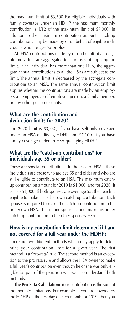the maximum limit of \$3,500 For eligible individuals with family coverage under an HDHP, the maximum monthly contribution is 1/12 of the maximum limit of \$7,000. In addition to the maximum contribution amount, catch-up contributions may be made by or on behalf of eligible individuals who are age 55 or older.

 All HSA contributions made by or on behalf of an eligible individual are aggregated for purposes of applying the limit. If an individual has more than one HSA, the aggregate annual contributions to all the HSAs are subject to the limit. The annual limit is decreased by the aggregate contributions to an MSA. The same annual contribution limit applies whether the contributions are made by an employee, an employer, a self-employed person, a family member, or any other person or entity.

#### **What are the contribution and deduction limits for 2020?**

The 2020 limit is \$3,550, if you have self-only coverage under an HSA-qualifying HDHP, and \$7,100, if you have family coverage under an HSA-qualifying HDHP.

# **What are the "catch-up contributions" for individuals age 55 or older?**

These are special contributions. In the case of HSAs, these individuals are those who are age 55 and older and who are still eligible to contribute to an HSA. The maximum catchup contribution amount for 2019 is \$1,000, and for 2020, it is also \$1,000. If both spouses are over age 55, then each is eligible to make his or her own catch-up contribution. Each spouse is required to make the catch-up contribution to his or her own HSA. That is, one spouse cannot make his or her catch-up contribution to the other spouse's HSA.

#### **How is my contribution limit determined if I am not covered for a full year under the HDHP?**

There are two different methods which may apply to determine your contribution limit for a given year. The first method is a "pro-rata" rule. The second method is an exception to the pro rata rule and allows the HSA owner to make a full year's contribution even though he or she was only eligible for part of the year. You will want to understand both methods.

 **The Pro Rata Calculation:** Your contribution is the sum of the monthly limitations. For example, if you are covered by the HDHP on the first day of each month for 2019, then you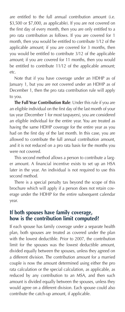are entitled to the full annual contribution amount (i.e. \$3,500 or \$7,000, as applicable). If you are not covered on the first day of every month, then you are only entitled to a pro rata contribution as follows. If you are covered for 1 month, then you would be entitled to contribute 1/12 of the applicable amount; if you are covered for 3 months, then you would be entitled to contribute 3/12 of the applicable amount; if you are covered for 11 months, then you would be entitled to contribute 11/12 of the applicable amount; etc.

 Note that if you have coverage under an HDHP as of January 1, but you are not covered under an HDHP as of December 1, then the pro rata contribution rule will apply to you.

 **The Full Year Contribution Rule**: Under this rule if you are an eligible individual on the first day of the last month of your tax year (December 1 for most taxpayers), you are considered an eligible individual for the entire year. You are treated as having the same HDHP coverage for the entire year as you had on the first day of the last month. In this case, you are allowed to contribute the full annual contribution amount, and it is not reduced on a pro rata basis for the months you were not covered.

 This second method allows a person to contribute a larger amount. A financial incentive exists to set up an HSA later in the year. An individual is not required to use this second method.

 There is a special penalty tax beyond the scope of this brochure which will apply if a person does not retain coverage under the HDHP for the entire subsequent calendar year.

#### **If both spouses have family coverage, how is the contribution limit computed?**

If each spouse has family coverage under a separate health plan, both spouses are treated as covered under the plan with the lowest deductible. Prior to 2007, the contribution limit for the spouses was the lowest deductible amount, divided equally between the spouses, unless they agreed on a different division. The contribution amount for a married couple is now the amount determined using either the pro rata calculation or the special calculation, as applicable, as reduced by any contribution to an MSA, and then such amount is divided equally between the spouses, unless they would agree on a different division. Each spouse could also contribute the catch-up amount, if applicable.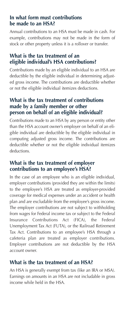#### **In what form must contributions be made to an HSA?**

Annual contributions to an HSA must be made in cash. For example, contributions may not be made in the form of stock or other property unless it is a rollover or transfer.

# **What is the tax treatment of an eligible individual's HSA contributions?**

Contributions made by an eligible individual to an HSA are deductible by the eligible individual in determining adjusted gross income. The contributions are deductible whether or not the eligible individual itemizes deductions.

# **What is the tax treatment of contributions made by a family member or other person on behalf of an eligible individual?**

Contributions made to an HSA by any person or entity other than the HSA account owner's employer on behalf of an eligible individual are deductible by the eligible individual in computing adjusted gross income. The contributions are deductible whether or not the eligible individual itemizes deductions.

# **What is the tax treatment of employer contributions to an employee's HSA?**

In the case of an employee who is an eligible individual, employer contributions (provided they are within the limits) to the employee's HSA are treated as employer-provided coverage for medical expenses under an accident or health plan and are excludable from the employee's gross income. The employer contributions are not subject to withholding from wages for Federal income tax or subject to the Federal Insurance Contributions Act (FICA), the Federal Unemployment Tax Act (FUTA), or the Railroad Retirement Tax Act. Contributions to an employee's HSA through a cafeteria plan are treated as employer contributions. Employer contributions are not deductible by the HSA account owner.

# **What is the tax treatment of an HSA?**

An HSA is generally exempt from tax (like an IRA or MSA). Earnings on amounts in an HSA are not includable in gross income while held in the HSA.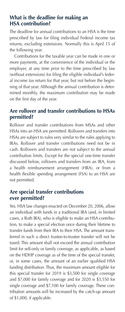# **What is the deadline for making an HSA contribution?**

The deadline for annual contributions to an HSA is the time prescribed by law for filing individual Federal income tax returns, excluding extensions. Normally this is April 15 of the following year.

 Contributions for the taxable year can be made in one or more payments, at the convenience of the individual or the employer, at any time prior to the time prescribed by law (without extensions) for filing the eligible individual's federal income tax return for that year, but not before the beginning of that year. Although the annual contribution is determined monthly, the maximum contribution may be made on the first day of the year.

# **Are rollover and transfer contributions to HSAs permitted?**

Rollover and transfer contributions from MSAs and other HSAs into an HSA are permitted. Rollovers and transfers into HSAs are subject to rules very similar to the rules applying to IRAs. Rollover and transfer contributions need not be in cash. Rollovers and transfers are not subject to the annual contribution limits. Except for the special one-time transfer discussed below, rollovers and transfers from an IRA, from a health reimbursement arrangement (HRA), or from a health flexible spending arrangement (FSA) to an HSA are not permitted.

# **Are special transfer contributions ever permitted?**

Yes. HSA law changes enacted on December 20, 2006, allow an individual with funds in a traditional IRA (and, in limited cases, a Roth IRA), who is eligible to make an HSA contribution, to make a special election once during their lifetime to transfer funds from their IRA to their HSA. The amount transferred in such a direct trustee-to-trustee transfer will not be taxed. This amount shall not exceed the annual contribution limit for self-only or family coverage, as applicable, as based on the HDHP coverage as of the time of the special transfer, or, in some cases, the amount of an earlier qualified HSA funding distribution. Thus, the maximum amount eligible for this special transfer for 2019 is \$3,500 for single coverage and \$7,000 for family coverage and for 2020 is \$3,550 for single coverage and \$7,100 for family coverage. These contribution amounts will be increased by the catch-up amount of \$1,000, if applicable.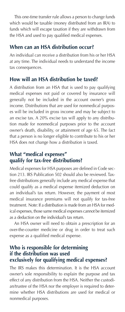This one-time transfer rule allows a person to change funds which would be taxable (money distributed from an IRA) to funds which will escape taxation if they are withdrawn from the HSA and used to pay qualified medical expenses.

#### **When can an HSA distribution occur?**

An individual can receive a distribution from his or her HSA at any time. The individual needs to understand the income tax consequences.

# **How will an HSA distribution be taxed?**

A distribution from an HSA that is used to pay qualifying medical expenses not paid or covered by insurance will generally not be included in the account owner's gross income. Distributions that are used for nonmedical purposes will be included in gross income and may be subject to an excise tax. A 20% excise tax will apply to any distribution made for nonmedical purposes prior to the account owner's death, disability, or attainment of age 65. The fact that a person is no longer eligible to contribute to his or her HSA does not change how a distribution is taxed.

# **What "medical expenses" qualify for tax-free distributions?**

Medical expenses for HSA purposes are defined in Code section 213. IRS Publication 502 should also be reviewed. Taxfree distributions generally include any medical expense that could qualify as a medical expense itemized deduction on an individual's tax return. However, the payment of most medical insurance premiums will not qualify for tax-free treatment. Note: If a distribution is made from an HSA for medical expenses, those same medical expenses cannot be itemized as a deduction on the individual's tax return.

 An HSA owner will need to obtain a prescription for an over-the-counter medicine or drug in order to treat such expense as a qualified medical expense.

#### **Who is responsible for determining if the distribution was used exclusively for qualifying medical expenses?**

The IRS makes this determination. It is the HSA account owner's sole responsibility to explain the purpose and tax effect of any distribution from the HSA. Neither the custodian/trustee of the HSA nor the employer is required to determine whether HSA distributions are used for medical or nonmedical purposes.